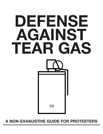# **A NON-EXHAUSTIVE GUIDE FOR PROTESTERS**

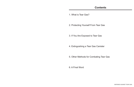1. What is Tear Gas?

2. Protecting Yourself From Tear Gas

3. If You Are Exposed to Tear Gas

4. Extinguishing a Tear Gas Canister

5. Other Methods for Combating Tear Gas

6. A Final Word

**DEFENSE AGAINST TEAR GAS**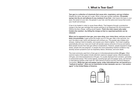**Tear gas is a collection of chemicals that cause skin, respiratory, and eye irritation.**  Despite the name, tear gas isn't a gas. When a tear gas canister explodes, **CS powder sprays into the air and adheres to any moisture it can find**—that means the tears in your eyes, the sweat on your skin, the grease in your hair, and the saliva and mucus that covers your mouth and airways.

It has to be heated in order to cause these effects. That happens through a pyrotechnic charge in the tear gas cartridge that causes particles to be dispersed into the environment. Without the fiery charge, nothing would happen. **That's the main reason why water hinders the reaction—by killing the charge so that no vaporized particles can be released.**

**When you're exposed to tear gas, your eyes sting, your vision blurs, and you cry and blink uncontrollably.** It gets worse the longer you're in the gas: After a few seconds, you won't be able to see, which will disorient and confuse you. The powder also irritates your airways, making it hard to breathe, and causes your chest to tighten. You'll start coughing automatically and your nose and mouth will secrete copious amounts of mucus and saliva. Most people recover from tear gas without complications. However, people exposed to large doses, people who are pregnant, or people who have preexisting medical conditions may develop severe symptoms such as respiratory failure, blindness, and even death.

The most commonly used form of tear gas is 2-chlorobenzalmalononitrile (**CS gas**). Other common types of tear gases include oleoresin capsicum (pepper spray), dibenzoxazepine (CR gas), and chloroacetophenone (CN gas). It's usually deployed from canisters, grenades, or pressurized sprays. Riot control agents, including tear gas and pepper spray, are banned in international warfare under both the 1925 Geneva Protocol and the Chemical Weapons Convention. **While tear gas and pepper spray, under international law, are banned as a "method of warfare", there are no restrictions to their domestic use as a "riot control agent" in the United States of America.**



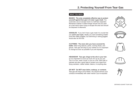## **2. Protecting Yourself From Tear Gas**

#### **WHAT YOU NEED:**

*MASKS:* **The only completely effective way to protect yourself against tear gas is to wear a gas mask.** You could also use an escape hood or a half face respirator. Bandanas soaked in water/vinegar should only be used as a last resort when trying to escape the area and should be disposed of afterward.

*GOGGLES:* If you don't have a gas mask it is crucial that you **cover your eyes**. Ideally you want something shatter proof like safety goggles, but swimming or skiing goggles would also do the trick.

*CLOTHING:* **The more skin you have covered the better.** Wear long sleeves, pants, running shoes, and gloves. Tear gas will cling to your clothes so it is important to change as soon as possible if you are exposed.

*HEADGEAR:* **Tear gas clings to the oils in your hair**, so it is important to cover as much of it up as you can. Tie it in a bun, wear a scarf, or put on a hat. Hard hats or helmets are also a good idea to protect your head from flying canisters, rubber bullets, batons, or anything else.

*DO NOT:* **Do NOT wear lotion, makeup, or contacts.** Tear gas will cling to all of these. You should remove your contacts immediately with clean hands if you're exposed.









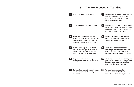### **3. If You Are Exposed to Tear Gas**



**Stay calm and do NOT panic.** 

- **Leave the area immediately** and get to a well ventilated place. **Move toward the wind** so the tear gas is blowing away from you.
- **8 Do NOT touch your face or skin.** 4 Flush our your eyes out with clean **water.** Some have suggested a 50/50 mix of water and liquid antacid such as Maalox for the best results.
	- **6 Do NOT wash your skin off with water.** You will spread the powder around and make it worse.
	- **8 Tie a clean and dry bandana around your forehead** to keep any sweat out of your eyes. **Do NOT wipe sweat away with your hands.**
	- **10 Carefully remove your clothing and** put them in a plastic bag. The powder will stick to your clothes, hair, and skin until you can wash them.
	- **12** When showering: bend over and wash your hair first so that the water does not run down your body.
- **5 When flushing your eyes, squirt** water from the inside of the eye to the outside being careful not to let the water run down your face or body.
- **7 Allow your body to flush it out.**  Blink as much as possible. You will cough, your nose will run, and your eyes will water. **Do NOT swallow.**
- **Flap your arms** to try and get as much powder off of you as possible.
- **Before showering: thoroughly wash** your hands and scrub under your finger nails.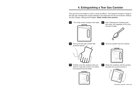## **4. Extinguishing a Tear Gas Canister**

Tear gas has to be heated in order to cause its effects. That happens through a charge in the tear gas cartridge that causes particles to be dispersed into the environment. Without the fiery charge, nothing would happen. **Water hinders that reaction.**

**1** Fill a wide mouth container with water. **2** Add 3 tablespoons of baking soda, dish soap, and vegetable oil for every one liter of water.



**3** Pick up the tear gas canister with protective gloves.



**5** Partially cover the container with your hand or a cap with a hole in it to relieve the pressure from the bottle.





**6** Shake the container until the canister has been put out and remove it.





 **4** Drop the canister into the container.



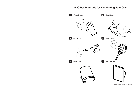## **5. Other Methods for Combating Tear Gas**



**DEFENSE AGAINST TEAR GAS**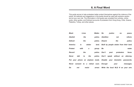This guide serves to help protesters better protect themselves against the violence of the police. All methods and suggestions in this guide should be used with extreme caution and at your own risk. The information in this guide was compiled from articles, online posts, other guides, and firsthand accounts of protesters from Hong Kong, Chile, Greece, Palestine, Turkey, and other places.

| Black          |      | Lives                              | <b>Matter.</b> | <b>No</b><br>justice<br>n <sub>o</sub><br>peace.                   |
|----------------|------|------------------------------------|----------------|--------------------------------------------------------------------|
| <b>Abolish</b> |      | the                                | police.        | <b>Abolition</b><br>reform.<br>not                                 |
| <b>Defund</b>  |      | the                                | police.        | <b>Disarm</b><br>the<br>police.                                    |
| <b>America</b> | is   | stolen                             | land.          | Built by people stolen from their land.                            |
| <b>Protest</b> | with | a                                  | group.         | water.<br>Be                                                       |
| <b>Record</b>  |      | the                                | police.        | Don't<br>protesters<br>faces.<br>post                              |
| <b>Never</b>   | talk | the<br>to                          | police.        | Don't speak without an attorney.                                   |
|                |      |                                    |                | Put your phone on airplane mode. Disable your biometric passwords. |
| Never          |      | consent to a retinal scan. Encrypt |                | your<br>messages.                                                  |
| Do             | not  | resist                             | arrest.        | Write the local NLG # on your arm.                                 |